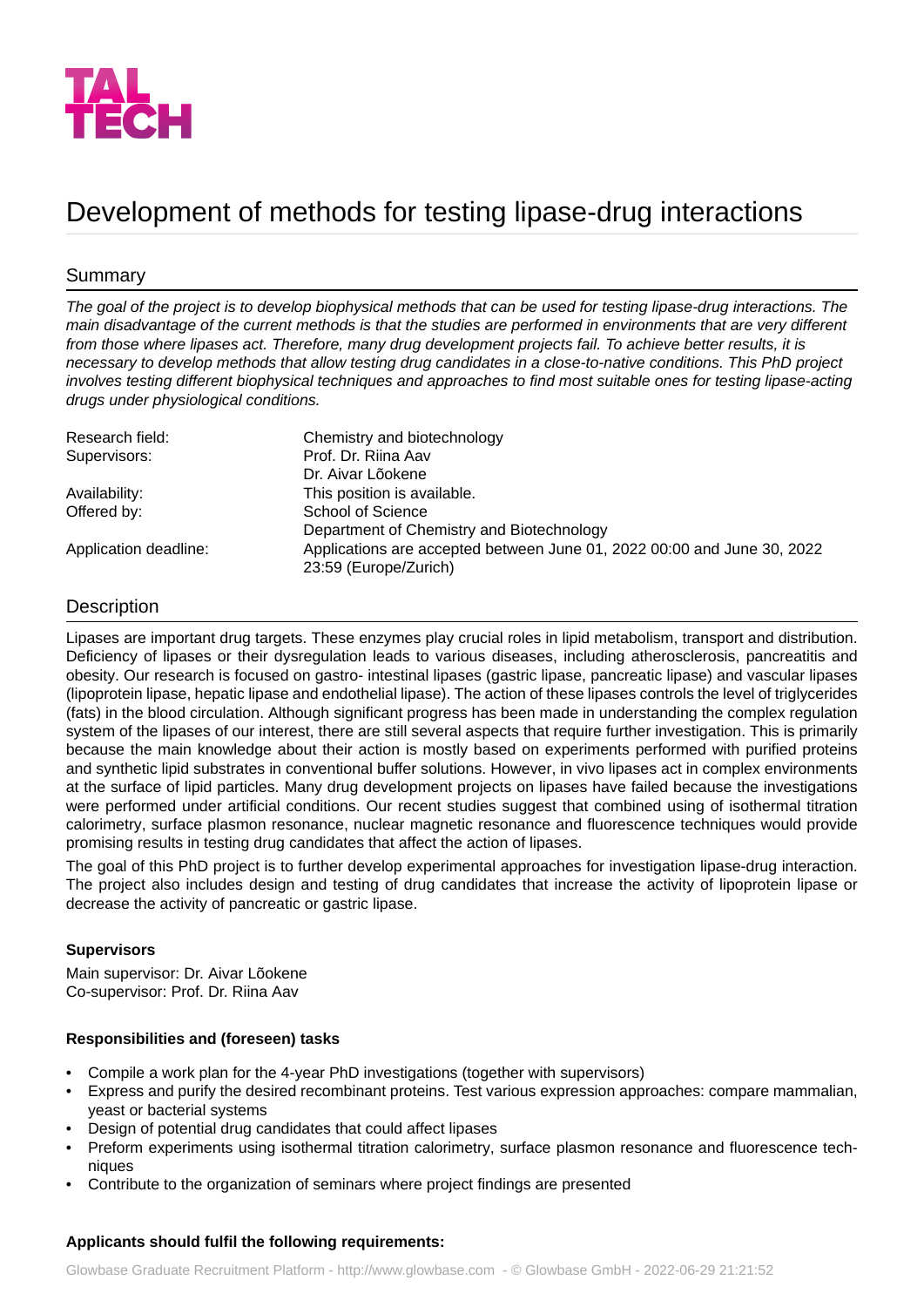

# Development of methods for testing lipase-drug interactions

## Summary

*The goal of the project is to develop biophysical methods that can be used for testing lipase-drug interactions. The main disadvantage of the current methods is that the studies are performed in environments that are very different* from those where lipases act. Therefore, many drug development projects fail. To achieve better results, it is *necessary to develop methods that allow testing drug candidates in a close-to-native conditions. This PhD project involves testing different biophysical techniques and approaches to find most suitable ones for testing lipase-acting drugs under physiological conditions.*

| Research field:       | Chemistry and biotechnology                                                                      |
|-----------------------|--------------------------------------------------------------------------------------------------|
| Supervisors:          | Prof. Dr. Riina Aav                                                                              |
|                       | Dr. Aivar Lõokene                                                                                |
| Availability:         | This position is available.                                                                      |
| Offered by:           | School of Science                                                                                |
|                       | Department of Chemistry and Biotechnology                                                        |
| Application deadline: | Applications are accepted between June 01, 2022 00:00 and June 30, 2022<br>23:59 (Europe/Zurich) |

## Description

Lipases are important drug targets. These enzymes play crucial roles in lipid metabolism, transport and distribution. Deficiency of lipases or their dysregulation leads to various diseases, including atherosclerosis, pancreatitis and obesity. Our research is focused on gastro- intestinal lipases (gastric lipase, pancreatic lipase) and vascular lipases (lipoprotein lipase, hepatic lipase and endothelial lipase). The action of these lipases controls the level of triglycerides (fats) in the blood circulation. Although significant progress has been made in understanding the complex regulation system of the lipases of our interest, there are still several aspects that require further investigation. This is primarily because the main knowledge about their action is mostly based on experiments performed with purified proteins and synthetic lipid substrates in conventional buffer solutions. However, in vivo lipases act in complex environments at the surface of lipid particles. Many drug development projects on lipases have failed because the investigations were performed under artificial conditions. Our recent studies suggest that combined using of isothermal titration calorimetry, surface plasmon resonance, nuclear magnetic resonance and fluorescence techniques would provide promising results in testing drug candidates that affect the action of lipases.

The goal of this PhD project is to further develop experimental approaches for investigation lipase-drug interaction. The project also includes design and testing of drug candidates that increase the activity of lipoprotein lipase or decrease the activity of pancreatic or gastric lipase.

### **Supervisors**

Main supervisor: Dr. Aivar Lõokene Co-supervisor: Prof. Dr. Riina Aav

### **Responsibilities and (foreseen) tasks**

- Compile a work plan for the 4-year PhD investigations (together with supervisors)
- Express and purify the desired recombinant proteins. Test various expression approaches: compare mammalian, yeast or bacterial systems
- Design of potential drug candidates that could affect lipases
- Preform experiments using isothermal titration calorimetry, surface plasmon resonance and fluorescence techniques
- Contribute to the organization of seminars where project findings are presented

### **Applicants should fulfil the following requirements:**